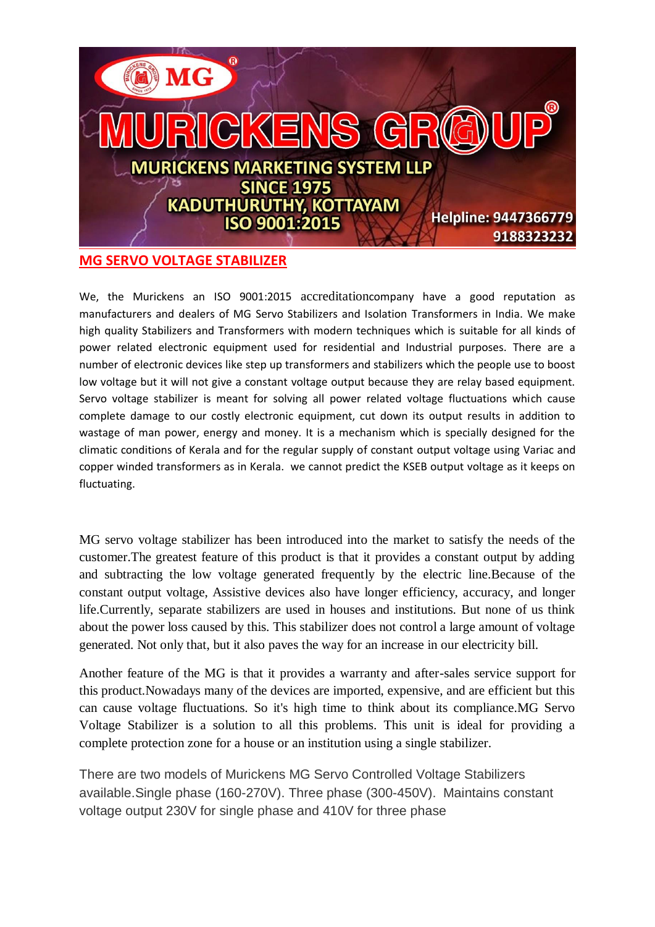

We, the Murickens an ISO 9001:2015 accreditationcompany have a good reputation as manufacturers and dealers of MG Servo Stabilizers and Isolation Transformers in India. We make high quality Stabilizers and Transformers with modern techniques which is suitable for all kinds of power related electronic equipment used for residential and Industrial purposes. There are a number of electronic devices like step up transformers and stabilizers which the people use to boost low voltage but it will not give a constant voltage output because they are relay based equipment. Servo voltage stabilizer is meant for solving all power related voltage fluctuations which cause complete damage to our costly electronic equipment, cut down its output results in addition to wastage of man power, energy and money. It is a mechanism which is specially designed for the climatic conditions of Kerala and for the regular supply of constant output voltage using Variac and copper winded transformers as in Kerala. we cannot predict the KSEB output voltage as it keeps on fluctuating.

MG servo voltage stabilizer has been introduced into the market to satisfy the needs of the customer.The greatest feature of this product is that it provides a constant output by adding and subtracting the low voltage generated frequently by the electric line.Because of the constant output voltage, Assistive devices also have longer efficiency, accuracy, and longer life.Currently, separate stabilizers are used in houses and institutions. But none of us think about the power loss caused by this. This stabilizer does not control a large amount of voltage generated. Not only that, but it also paves the way for an increase in our electricity bill.

Another feature of the MG is that it provides a warranty and after-sales service support for this product.Nowadays many of the devices are imported, expensive, and are efficient but this can cause voltage fluctuations. So it's high time to think about its compliance.MG Servo Voltage Stabilizer is a solution to all this problems. This unit is ideal for providing a complete protection zone for a house or an institution using a single stabilizer.

There are two models of Murickens MG Servo Controlled Voltage Stabilizers available.Single phase (160-270V). Three phase (300-450V). Maintains constant voltage output 230V for single phase and 410V for three phase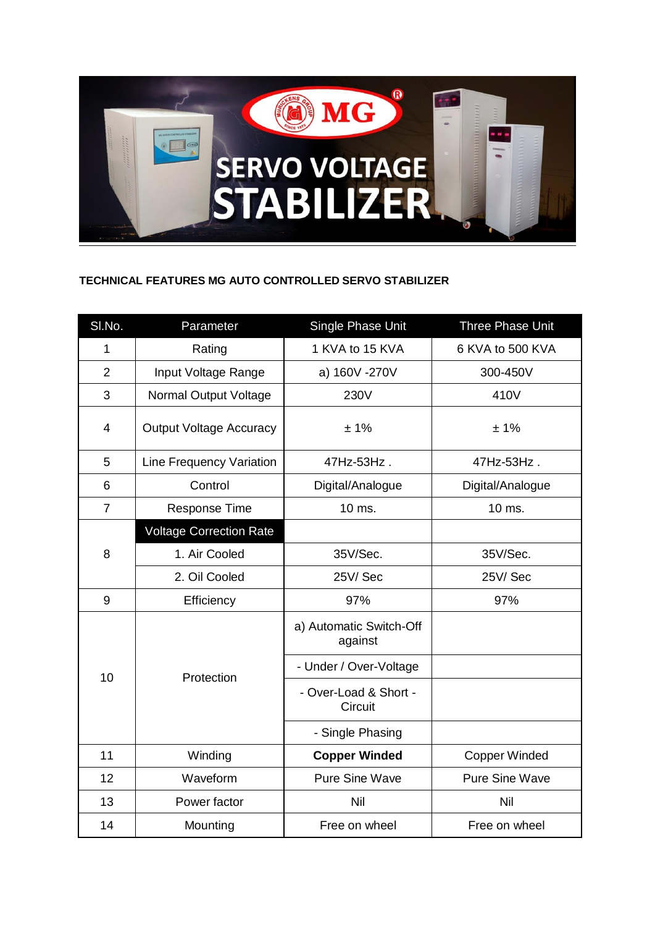

## **TECHNICAL FEATURES MG AUTO CONTROLLED SERVO STABILIZER**

| SI.No.         | Parameter                       | Single Phase Unit                  | Three Phase Unit      |
|----------------|---------------------------------|------------------------------------|-----------------------|
| $\mathbf{1}$   | Rating                          | 1 KVA to 15 KVA                    | 6 KVA to 500 KVA      |
| $\overline{2}$ | Input Voltage Range             | a) 160V -270V                      | 300-450V              |
| 3              | Normal Output Voltage           | 230V                               | 410V                  |
| 4              | <b>Output Voltage Accuracy</b>  | ±1%                                | ±1%                   |
| 5              | <b>Line Frequency Variation</b> | 47Hz-53Hz.                         | 47Hz-53Hz.            |
| 6              | Control                         | Digital/Analogue                   | Digital/Analogue      |
| $\overline{7}$ | <b>Response Time</b>            | 10 ms.                             | 10 ms.                |
| 8              | <b>Voltage Correction Rate</b>  |                                    |                       |
|                | 1. Air Cooled                   | 35V/Sec.                           | 35V/Sec.              |
|                | 2. Oil Cooled                   | 25V/Sec                            | 25V/Sec               |
| 9              | Efficiency                      | 97%                                | 97%                   |
| 10             | Protection                      | a) Automatic Switch-Off<br>against |                       |
|                |                                 | - Under / Over-Voltage             |                       |
|                |                                 | - Over-Load & Short -<br>Circuit   |                       |
|                |                                 | - Single Phasing                   |                       |
| 11             | Winding                         | <b>Copper Winded</b>               | <b>Copper Winded</b>  |
| 12             | Waveform                        | <b>Pure Sine Wave</b>              | <b>Pure Sine Wave</b> |
| 13             | Power factor                    | Nil                                | Nil                   |
| 14             | Mounting                        | Free on wheel                      | Free on wheel         |